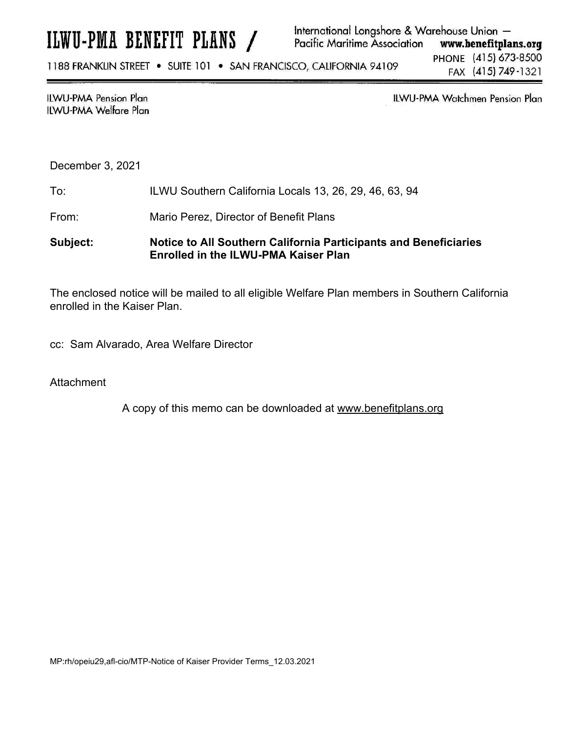# ILWU-PMA BENEFIT PLANS /

#### International Longshore & Warehouse Union -**Pacific Maritime Association** www.benefitplans.org

1188 FRANKLIN STREET . SUITE 101 . SAN FRANCISCO, CALIFORNIA 94109

PHONE (415) 673-8500 FAX (415) 749-1321

#### **ILWU-PMA Pension Plan ILWU-PMA Welfare Plan**

ILWU-PMA Watchmen Pension Plan

December 3, 2021

To: ILWU Southern California Locals 13, 26, 29, 46, 63, 94

From: Mario Perez, Director of Benefit Plans

## **Subject: Notice to All Southern California Participants and Beneficiaries Enrolled in the ILWU-PMA Kaiser Plan**

The enclosed notice will be mailed to all eligible Welfare Plan members in Southern California enrolled in the Kaiser Plan.

cc: Sam Alvarado, Area Welfare Director

**Attachment** 

A copy of this memo can be downloaded at www.benefitplans.org